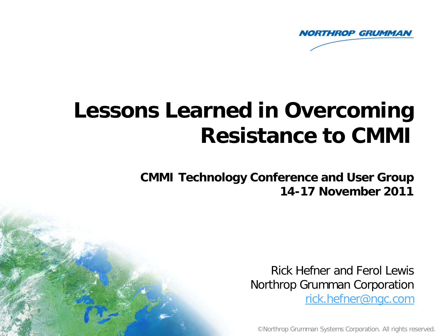

# **Lessons Learned in Overcoming Resistance to CMMI**

**CMMI Technology Conference and User Group 14-17 November 2011** 

> Rick Hefner and Ferol Lewis Northrop Grumman Corporation

[rick.hefner@ngc.com](mailto:rick.hefner@ngc.com)

©Northrop Grumman Systems Corporation. All rights reserved.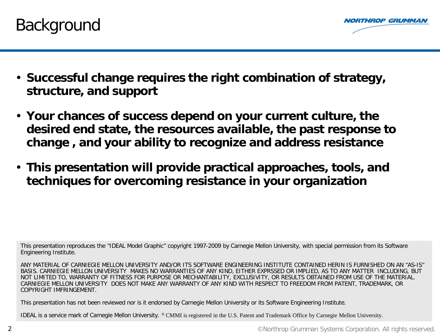



- **Successful change requires the right combination of strategy, structure, and support**
- **Your chances of success depend on your current culture, the desired end state, the resources available, the past response to change , and your ability to recognize and address resistance**
- **This presentation will provide practical approaches, tools, and techniques for overcoming resistance in your organization**

This presentation reproduces the "IDEAL Model Graphic" copyright 1997-2009 by Carnegie Mellon University, with special permission from its Software Engineering Institute.

ANY MATERIAL OF CARNIEGIE MELLON UNIVERSITY AND/OR ITS SOFTWARE ENGINEERING INSTITUTE CONTAINED HERIN IS FURNISHED ON AN "AS-IS" BASIS. CARNIEGIE MELLON UNIVERSITY MAKES NO WARRANTIES OF ANY KIND, EITHER EXPRSSED OR IMPLIED, AS TO ANY MATTER INCLUDING, BUT NOT LIMITED TO, WARRANTY OF FITNESS FOR PURPOSE OR MECHANTABILITY, EXCLUSIVITY, OR RESULTS OBTAINED FROM USE OF THE MATERIAL. CARNIEGIE MELLON UNIVERSITY DOES NOT MAKE ANY WARRANTY OF ANY KIND WITH RESPECT TO FREEDOM FROM PATENT, TRADEMARK, OR COPYRIGHT IMFRINGEMENT.

This presentation has not been reviewed nor is it endorsed by Carnegie Mellon University or its Software Engineering Institute.

IDEAL is a service mark of Carnegie Mellon University. ® CMMI is registered in the U.S. Patent and Trademark Office by Carnegie Mellon University.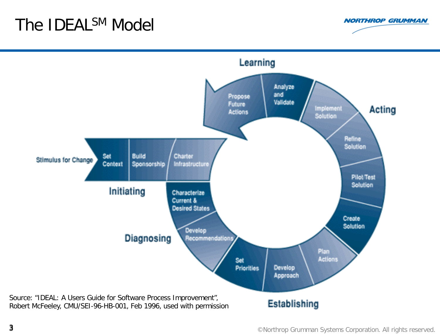# The **IDEAL<sup>SM</sup>** Model



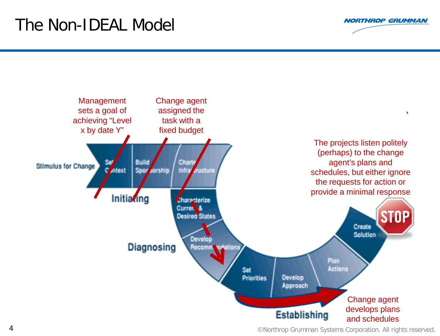# The Non-IDEAL Model





4 ©Northrop Grumman Systems Corporation. All rights reserved.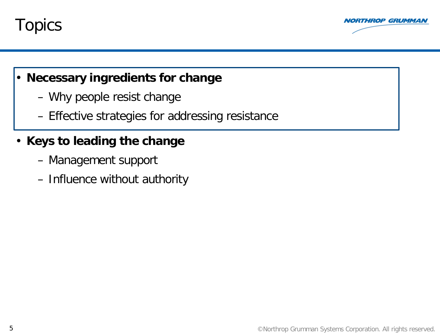



#### • **Necessary ingredients for change**

- Why people resist change
- Effective strategies for addressing resistance

### • **Keys to leading the change**

- Management support
- Influence without authority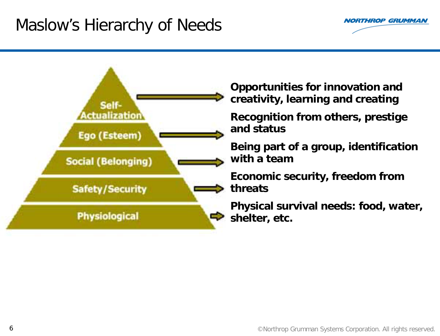## Maslow's Hierarchy of Needs



**NORTHROP GRUMMAN**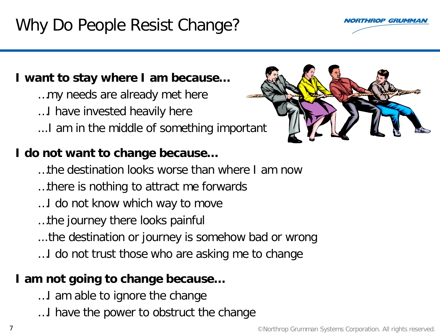# Why Do People Resist Change?



…my needs are already met here …I have invested heavily here ...I am in the middle of something important

### **I do not want to change because…**

- …the destination looks worse than where I am now
- …there is nothing to attract me forwards
- …I do not know which way to move
- …the journey there looks painful
- ...the destination or journey is somehow bad or wrong
- …I do not trust those who are asking me to change

### **I am not going to change because…**

- …I am able to ignore the change
- …I have the power to obstruct the change





**THROP GRUMMA**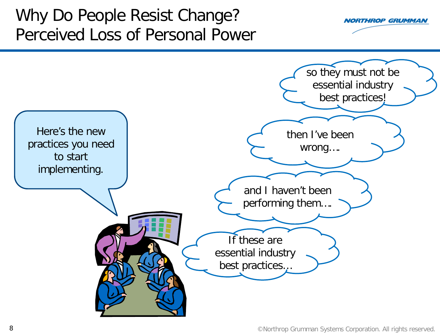# Why Do People Resist Change? Perceived Loss of Personal Power



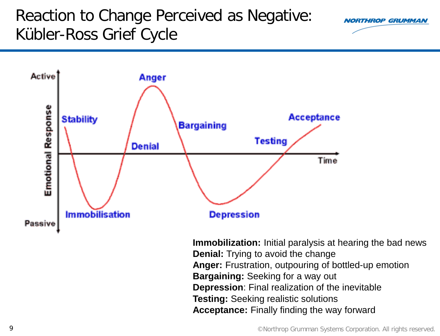# Reaction to Change Perceived as Negative: Kübler-Ross Grief Cycle





**Immobilization:** Initial paralysis at hearing the bad news **Denial:** Trying to avoid the change **Anger:** Frustration, outpouring of bottled-up emotion **Bargaining:** Seeking for a way out **Depression**: Final realization of the inevitable **Testing:** Seeking realistic solutions **Acceptance:** Finally finding the way forward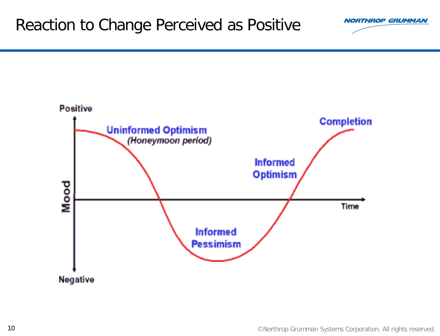### Reaction to Change Perceived as Positive



**NORTHROP GRUMMAN**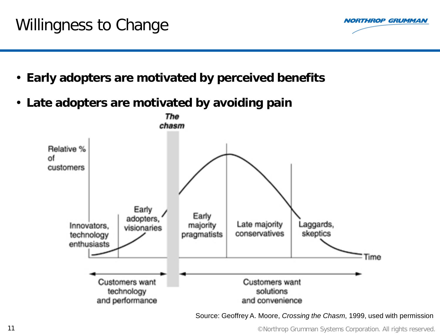# Willingness to Change



- **Early adopters are motivated by perceived benefits**
- **Late adopters are motivated by avoiding pain**



Source: Geoffrey A. Moore, *Crossing the Chasm*, 1999, used with permission

©Northrop Grumman Systems Corporation. All rights reserved.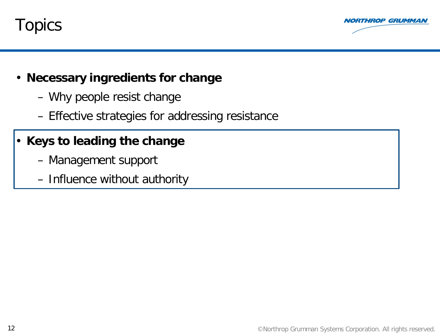



- **Necessary ingredients for change**
	- Why people resist change
	- Effective strategies for addressing resistance

### • **Keys to leading the change**

- Management support
- Influence without authority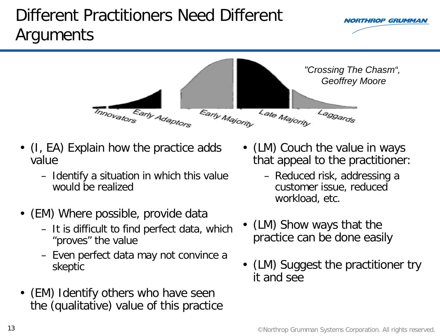# Different Practitioners Need Different Arguments



- (I, EA) Explain how the practice adds value
	- Identify a situation in which this value would be realized
- (EM) Where possible, provide data
	- It is difficult to find perfect data, which "proves" the value
	- Even perfect data may not convince a skeptic
- (EM) Identify others who have seen the (qualitative) value of this practice

• (LM) Couch the value in ways that appeal to the practitioner:

**IORTHROP GRUMMAI** 

- Reduced risk, addressing a customer issue, reduced workload, etc.
- (LM) Show ways that the practice can be done easily
- (LM) Suggest the practitioner try it and see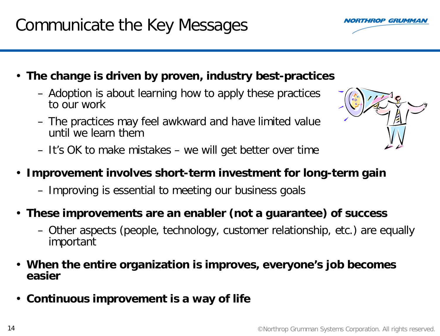# Communicate the Key Messages

- **The change is driven by proven, industry best-practices**
	- Adoption is about learning how to apply these practices to our work
	- The practices may feel awkward and have limited value until we learn them
	- It's OK to make mistakes we will get better over time
	- **Improvement involves short-term investment for long-term gain**
		- Improving is essential to meeting our business goals
	- **These improvements are an enabler (not a guarantee) of success**
		- Other aspects (people, technology, customer relationship, etc.) are equally important
	- **When the entire organization is improves, everyone's job becomes easier**
	- **Continuous improvement is a way of life**



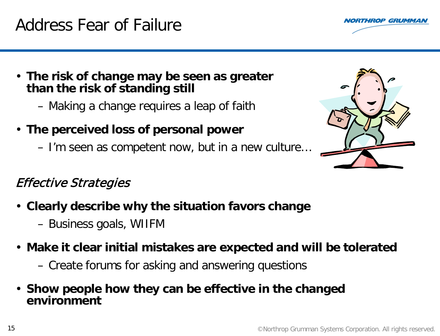## Address Fear of Failure

- **The risk of change may be seen as greater than the risk of standing still**
	- Making a change requires a leap of faith
- **The perceived loss of personal power**
	- I'm seen as competent now, but in a new culture…

### Effective Strategies

- **Clearly describe why the situation favors change**
	- Business goals, WIIFM
- **Make it clear initial mistakes are expected and will be tolerated**
	- Create forums for asking and answering questions
- **Show people how they can be effective in the changed environment**



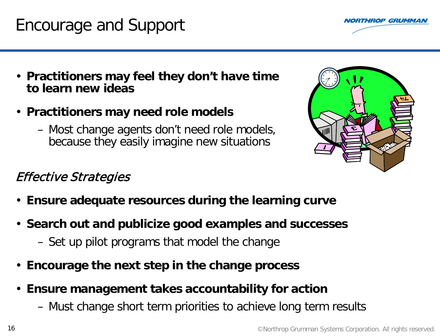#### **16 CONSERVITED EXAMPLE 20 CONSERVERSE CONSERVERSITY OF CONSERVERSITY OF CONSERVERSITY OF CONSERVERSITY OF CONSERVERSITY OF CONSERVERSITY OF CONSERVERSITY OF CONSERVERSITY OF CONSERVERSITY OF CONSERVERSITY OF CONSERVERSI**

## Encourage and Support

- **Practitioners may feel they don't have time to learn new ideas**
- **Practitioners may need role models** 
	- Most change agents don't need role models, because they easily imagine new situations

#### Effective Strategies

- **Ensure adequate resources during the learning curve**
- **Search out and publicize good examples and successes**
	- Set up pilot programs that model the change
- **Encourage the next step in the change process**
- **Ensure management takes accountability for action**
	- Must change short term priorities to achieve long term results



**THROP GRUMMAI**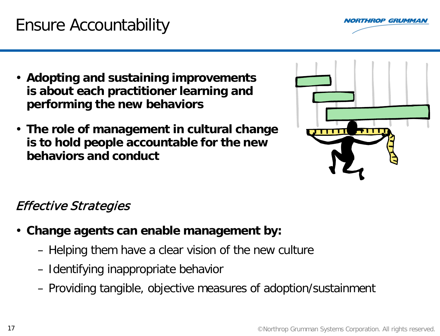# Ensure Accountability

**RTHROP GRUMMAI** 

- **Adopting and sustaining improvements is about each practitioner learning and performing the new behaviors**
- **The role of management in cultural change is to hold people accountable for the new behaviors and conduct**



### Effective Strategies

- **Change agents can enable management by:**
	- Helping them have a clear vision of the new culture
	- Identifying inappropriate behavior
	- Providing tangible, objective measures of adoption/sustainment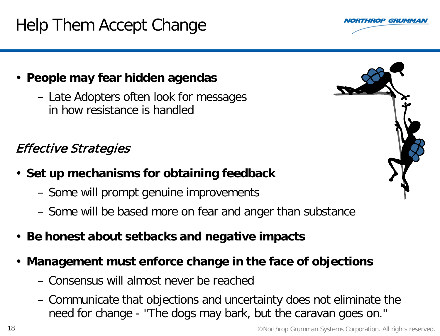# Help Them Accept Change

### • **People may fear hidden agendas**

– Late Adopters often look for messages in how resistance is handled

### Effective Strategies

- **Set up mechanisms for obtaining feedback**
	- Some will prompt genuine improvements
	- Some will be based more on fear and anger than substance
- **Be honest about setbacks and negative impacts**
- **Management must enforce change in the face of objections** 
	- Consensus will almost never be reached
	- Communicate that objections and uncertainty does not eliminate the need for change - "The dogs may bark, but the caravan goes on."



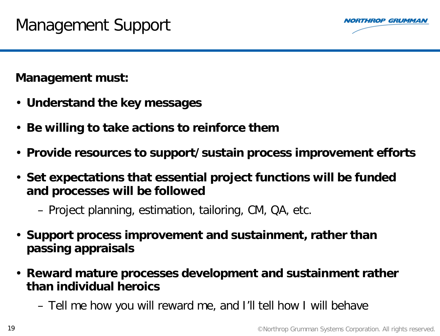

**Management must:**

- **Understand the key messages**
- **Be willing to take actions to reinforce them**
- **Provide resources to support/sustain process improvement efforts**
- **Set expectations that essential project functions will be funded and processes will be followed**
	- Project planning, estimation, tailoring, CM, QA, etc.
- **Support process improvement and sustainment, rather than passing appraisals**
- **Reward mature processes development and sustainment rather than individual heroics**
	- Tell me how you will reward me, and I'll tell how I will behave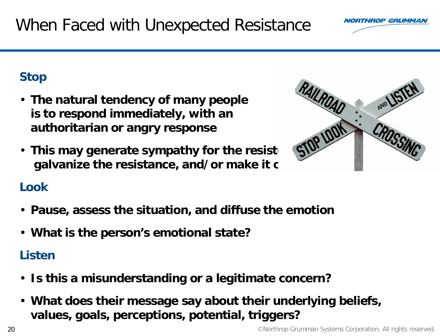## When Faced with Unexpected Resistance

### **Stop**

- **The natural tendency of many people is to respond immediately, with an authoritarian or angry response**
- This may generate sympathy for the resist galvanize the resistance, and/or make it c

### **Look**

- **Pause, assess the situation, and diffuse the emotion**
- **What is the person's emotional state?**

### **Listen**

- **Is this a misunderstanding or a legitimate concern?**
- **What does their message say about their underlying beliefs, values, goals, perceptions, potential, triggers?**



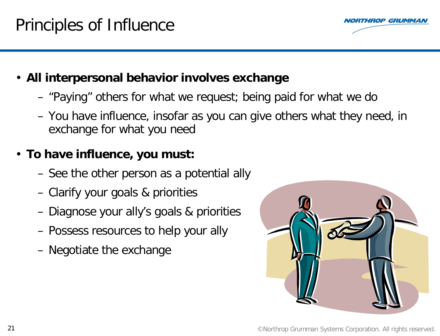# Principles of Influence

- **All interpersonal behavior involves exchange**
	- "Paying" others for what we request; being paid for what we do
	- You have influence, insofar as you can give others what they need, in exchange for what you need

### • **To have influence, you must:**

- See the other person as a potential ally
- Clarify your goals & priorities
- Diagnose your ally's goals & priorities
- Possess resources to help your ally
- Negotiate the exchange



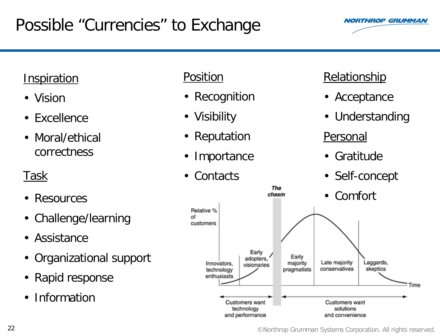# Possible "Currencies" to Exchange



### **Inspiration**

- Vision
- Excellence
- Moral/ethical correctness

### Task

- Resources
- Challenge/learning
- Assistance
- Organizational support
- Rapid response
- Information

#### Position

- Recognition
- Visibility
- Reputation
- Importance
- Contacts

### **Relationship**

- Acceptance
- Understanding

### Personal

- Gratitude
- Self-concept



22 CNorthrop Grumman Systems Corporation. All rights reserved.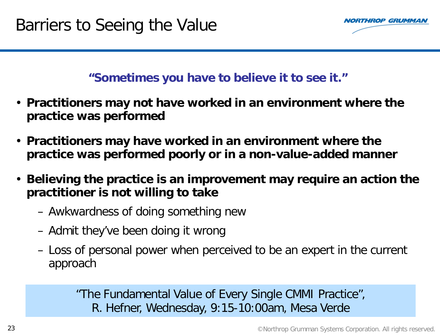

#### **"Sometimes you have to believe it to see it."**

- **Practitioners may not have worked in an environment where the practice was performed**
- **Practitioners may have worked in an environment where the practice was performed poorly or in a non-value-added manner**
- **Believing the practice is an improvement may require an action the practitioner is not willing to take**
	- Awkwardness of doing something new
	- Admit they've been doing it wrong
	- Loss of personal power when perceived to be an expert in the current approach

"The Fundamental Value of Every Single CMMI Practice", R. Hefner, Wednesday, 9:15-10:00am, Mesa Verde